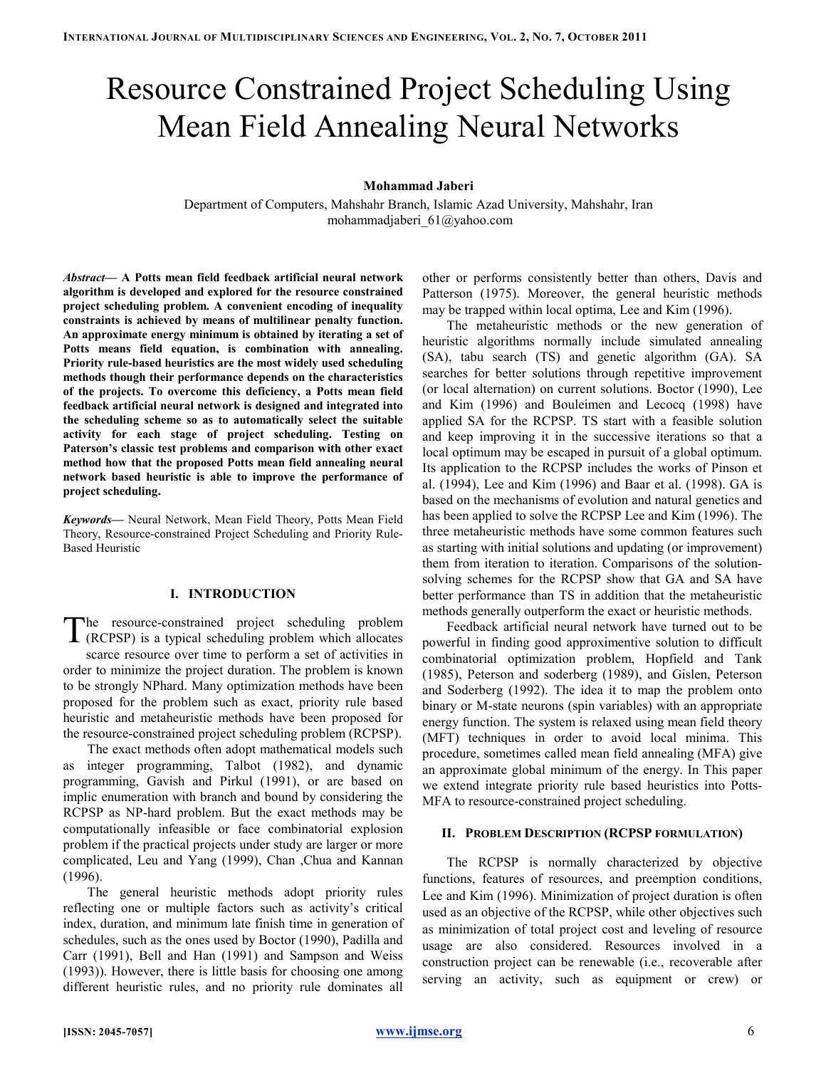# Resource Constrained Project Scheduling Using Mean Field Annealing Neural Networks

# Mohammad Jaberi

Department of Computers, Mahshahr Branch, Islamic Azad University, Mahshahr, Iran mohammadjaberi\_61@yahoo.com

Abstract— A Potts mean field feedback artificial neural network algorithm is developed and explored for the resource constrained project scheduling problem. A convenient encoding of inequality constraints is achieved by means of multilinear penalty function. An approximate energy minimum is obtained by iterating a set of Potts means field equation, is combination with annealing. Priority rule-based heuristics are the most widely used scheduling methods though their performance depends on the characteristics of the projects. To overcome this deficiency, a Potts mean field feedback artificial neural network is designed and integrated into the scheduling scheme so as to automatically select the suitable activity for each stage of project scheduling. Testing on Paterson's classic test problems and comparison with other exact method how that the proposed Potts mean field annealing neural network based heuristic is able to improve the performance of project scheduling.

Keywords— Neural Network, Mean Field Theory, Potts Mean Field Theory, Resource-constrained Project Scheduling and Priority Rule-Based Heuristic

# I. INTRODUCTION

he resource-constrained project scheduling problem (RCPSP) is a typical scheduling problem which allocates scarce resource over time to perform a set of activities in order to minimize the project duration. The problem is known to be strongly NPhard. Many optimization methods have been proposed for the problem such as exact, priority rule based heuristic and metaheuristic methods have been proposed for the resource-constrained project scheduling problem (RCPSP). T

The exact methods often adopt mathematical models such as integer programming, Talbot (1982), and dynamic programming, Gavish and Pirkul (1991), or are based on implic enumeration with branch and bound by considering the RCPSP as NP-hard problem. But the exact methods may be computationally infeasible or face combinatorial explosion problem if the practical projects under study are larger or more complicated, Leu and Yang (1999), Chan ,Chua and Kannan (1996).

The general heuristic methods adopt priority rules reflecting one or multiple factors such as activity's critical index, duration, and minimum late finish time in generation of schedules, such as the ones used by Boctor (1990), Padilla and Carr (1991), Bell and Han (1991) and Sampson and Weiss (1993)). However, there is little basis for choosing one among different heuristic rules, and no priority rule dominates all

other or performs consistently better than others, Davis and Patterson (1975). Moreover, the general heuristic methods may be trapped within local optima, Lee and Kim (1996).

The metaheuristic methods or the new generation of heuristic algorithms normally include simulated annealing (SA), tabu search (TS) and genetic algorithm (GA). SA searches for better solutions through repetitive improvement (or local alternation) on current solutions. Boctor (1990), Lee and Kim (1996) and Bouleimen and Lecocq (1998) have applied SA for the RCPSP. TS start with a feasible solution and keep improving it in the successive iterations so that a local optimum may be escaped in pursuit of a global optimum. Its application to the RCPSP includes the works of Pinson et al. (1994), Lee and Kim (1996) and Baar et al. (1998). GA is based on the mechanisms of evolution and natural genetics and has been applied to solve the RCPSP Lee and Kim (1996). The three metaheuristic methods have some common features such as starting with initial solutions and updating (or improvement) them from iteration to iteration. Comparisons of the solutionsolving schemes for the RCPSP show that GA and SA have better performance than TS in addition that the metaheuristic methods generally outperform the exact or heuristic methods.

Feedback artificial neural network have turned out to be powerful in finding good approximentive solution to difficult combinatorial optimization problem, Hopfield and Tank (1985), Peterson and soderberg (1989), and Gislen, Peterson and Soderberg (1992). The idea it to map the problem onto binary or M-state neurons (spin variables) with an appropriate energy function. The system is relaxed using mean field theory (MFT) techniques in order to avoid local minima. This procedure, sometimes called mean field annealing (MFA) give an approximate global minimum of the energy. In This paper we extend integrate priority rule based heuristics into Potts-MFA to resource-constrained project scheduling.

#### II. PROBLEM DESCRIPTION (RCPSP FORMULATION)

The RCPSP is normally characterized by objective functions, features of resources, and preemption conditions, Lee and Kim (1996). Minimization of project duration is often used as an objective of the RCPSP, while other objectives such as minimization of total project cost and leveling of resource usage are also considered. Resources involved in a construction project can be renewable (i.e., recoverable after serving an activity, such as equipment or crew) or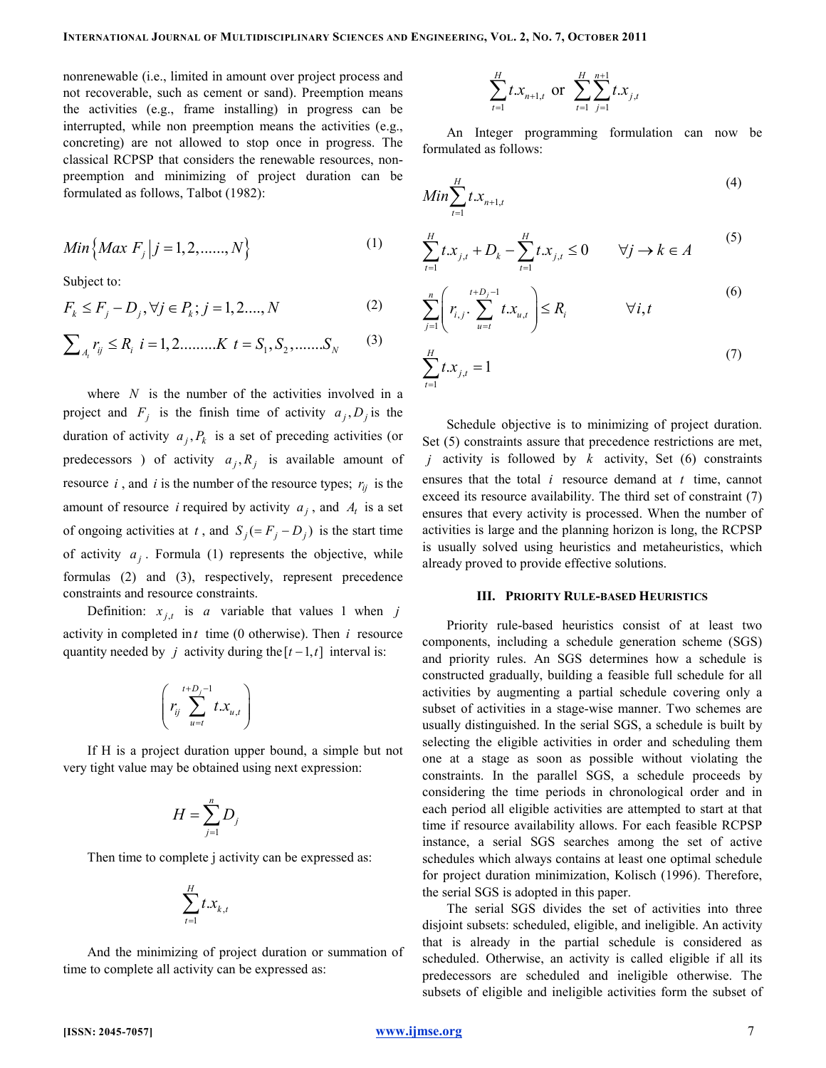nonrenewable (i.e., limited in amount over project process and not recoverable, such as cement or sand). Preemption means the activities (e.g., frame installing) in progress can be interrupted, while non preemption means the activities (e.g., concreting) are not allowed to stop once in progress. The classical RCPSP that considers the renewable resources, nonpreemption and minimizing of project duration can be formulated as follows, Talbot (1982):

$$
Min\{Max F_j | j = 1, 2, \dots, N\}
$$
 (1)

Subject to:

$$
F_k \le F_j - D_j, \forall j \in P_k; j = 1, 2, ..., N
$$
 (2)

$$
\sum_{A_i} r_{ij} \le R_i \ \ i = 1, 2, \dots, K \ \ t = S_1, S_2, \dots, S_N \tag{3}
$$

where  $N$  is the number of the activities involved in a project and  $F_j$  is the finish time of activity  $a_j, D_j$  is the duration of activity  $a_j, P_k$  is a set of preceding activities (or predecessors) of activity  $a_j, R_j$  is available amount of resource *i*, and *i* is the number of the resource types;  $r_{ij}$  is the amount of resource *i* required by activity  $a_j$ , and  $A_t$  is a set of ongoing activities at t, and  $S_j (= F_j - D_j)$  is the start time of activity  $a_j$ . Formula (1) represents the objective, while formulas (2) and (3), respectively, represent precedence constraints and resource constraints.

Definition:  $x_{j,t}$  is a variable that values 1 when j activity in completed in  $t$  time (0 otherwise). Then  $i$  resource quantity needed by *j* activity during the  $[t-1, t]$  interval is:

$$
\left(r_{ij} \sum_{u=t}^{t+D_j-1} t.x_{u,t}\right)
$$

If H is a project duration upper bound, a simple but not very tight value may be obtained using next expression:

$$
H = \sum_{j=1}^{n} D_j
$$

Then time to complete j activity can be expressed as:

$$
\sum_{t=1}^H t.x_{k,t}
$$

And the minimizing of project duration or summation of time to complete all activity can be expressed as:

$$
\sum_{t=1}^{H} t x_{n+1,t} \text{ or } \sum_{t=1}^{H} \sum_{j=1}^{n+1} t x_{j,t}
$$

An Integer programming formulation can now be formulated as follows:

$$
Min\sum_{t=1}^{H} t \cdot x_{n+1,t} \tag{4}
$$

$$
\sum_{t=1}^{H} t x_{j,t} + D_k - \sum_{t=1}^{H} t x_{j,t} \le 0 \qquad \forall j \to k \in A
$$
 (5)

$$
\sum_{j=1}^{n} \left( r_{i,j} \cdot \sum_{u=t}^{t+D_j-1} t \cdot x_{u,t} \right) \le R_i \qquad \forall i, t \qquad (6)
$$

$$
\sum_{t=1}^{H} t \cdot x_{j,t} = 1 \tag{7}
$$

Schedule objective is to minimizing of project duration. Set (5) constraints assure that precedence restrictions are met, *j* activity is followed by  $k$  activity, Set (6) constraints ensures that the total  $i$  resource demand at  $t$  time, cannot exceed its resource availability. The third set of constraint (7) ensures that every activity is processed. When the number of activities is large and the planning horizon is long, the RCPSP is usually solved using heuristics and metaheuristics, which already proved to provide effective solutions.

#### III. PRIORITY RULE-BASED HEURISTICS

Priority rule-based heuristics consist of at least two components, including a schedule generation scheme (SGS) and priority rules. An SGS determines how a schedule is constructed gradually, building a feasible full schedule for all activities by augmenting a partial schedule covering only a subset of activities in a stage-wise manner. Two schemes are usually distinguished. In the serial SGS, a schedule is built by selecting the eligible activities in order and scheduling them one at a stage as soon as possible without violating the constraints. In the parallel SGS, a schedule proceeds by considering the time periods in chronological order and in each period all eligible activities are attempted to start at that time if resource availability allows. For each feasible RCPSP instance, a serial SGS searches among the set of active schedules which always contains at least one optimal schedule for project duration minimization, Kolisch (1996). Therefore, the serial SGS is adopted in this paper.

The serial SGS divides the set of activities into three disjoint subsets: scheduled, eligible, and ineligible. An activity that is already in the partial schedule is considered as scheduled. Otherwise, an activity is called eligible if all its predecessors are scheduled and ineligible otherwise. The subsets of eligible and ineligible activities form the subset of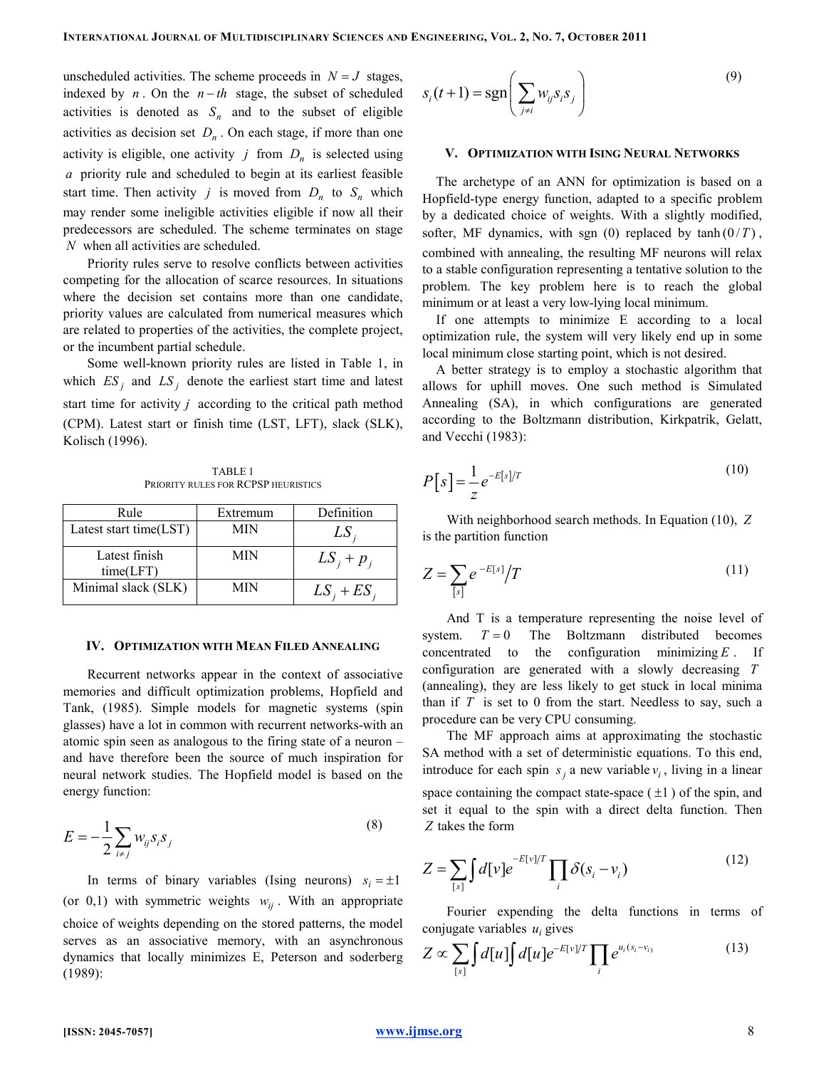unscheduled activities. The scheme proceeds in  $N = J$  stages, indexed by  $n$ . On the  $n - th$  stage, the subset of scheduled activities is denoted as  $S_n$  and to the subset of eligible activities as decision set  $D_n$ . On each stage, if more than one activity is eligible, one activity  $j$  from  $D_n$  is selected using a priority rule and scheduled to begin at its earliest feasible start time. Then activity j is moved from  $D_n$  to  $S_n$  which may render some ineligible activities eligible if now all their predecessors are scheduled. The scheme terminates on stage N when all activities are scheduled.

Priority rules serve to resolve conflicts between activities competing for the allocation of scarce resources. In situations where the decision set contains more than one candidate, priority values are calculated from numerical measures which are related to properties of the activities, the complete project, or the incumbent partial schedule.

Some well-known priority rules are listed in Table 1, in which  $ES_j$  and  $LS_j$  denote the earliest start time and latest start time for activity  $j$  according to the critical path method (CPM). Latest start or finish time (LST, LFT), slack (SLK), Kolisch (1996).

TABLE 1 PRIORITY RULES FOR RCPSP HEURISTICS

| Rule                       | Extremum   | Definition    |
|----------------------------|------------|---------------|
| Latest start time(LST)     | <b>MIN</b> | LS,           |
| Latest finish<br>time(LFT) | MIN        | $LS_i + p_i$  |
| Minimal slack (SLK)        | МIN        | $LS_i + ES_i$ |

#### IV. OPTIMIZATION WITH MEAN FILED ANNEALING

Recurrent networks appear in the context of associative memories and difficult optimization problems, Hopfield and Tank, (1985). Simple models for magnetic systems (spin glasses) have a lot in common with recurrent networks-with an atomic spin seen as analogous to the firing state of a neuron – and have therefore been the source of much inspiration for neural network studies. The Hopfield model is based on the energy function:

$$
E = -\frac{1}{2} \sum_{i \neq j} w_{ij} s_i s_j \tag{8}
$$

In terms of binary variables (Ising neurons)  $s_i = \pm 1$ (or 0,1) with symmetric weights  $w_{ij}$ . With an appropriate choice of weights depending on the stored patterns, the model serves as an associative memory, with an asynchronous dynamics that locally minimizes E, Peterson and soderberg (1989):

$$
s_i(t+1) = \text{sgn}\left(\sum_{j\neq i} w_{ij} s_i s_j\right)
$$
\n(9)

#### V. OPTIMIZATION WITH ISING NEURAL NETWORKS

The archetype of an ANN for optimization is based on a Hopfield-type energy function, adapted to a specific problem by a dedicated choice of weights. With a slightly modified, softer, MF dynamics, with sgn  $(0)$  replaced by tanh  $(0/T)$ , combined with annealing, the resulting MF neurons will relax to a stable configuration representing a tentative solution to the problem. The key problem here is to reach the global minimum or at least a very low-lying local minimum.

If one attempts to minimize E according to a local optimization rule, the system will very likely end up in some local minimum close starting point, which is not desired.

A better strategy is to employ a stochastic algorithm that allows for uphill moves. One such method is Simulated Annealing (SA), in which configurations are generated according to the Boltzmann distribution, Kirkpatrik, Gelatt, and Vecchi (1983):

$$
P[s] = \frac{1}{z} e^{-E[s]/T}
$$
\n(10)

With neighborhood search methods. In Equation (10), Z is the partition function

$$
Z = \sum_{[s]} e^{-E[s]} / T \tag{11}
$$

And T is a temperature representing the noise level of system.  $T = 0$  The Boltzmann distributed becomes concentrated to the configuration minimizing  $E$ . If configuration are generated with a slowly decreasing T (annealing), they are less likely to get stuck in local minima than if  $T$  is set to 0 from the start. Needless to say, such a procedure can be very CPU consuming.

The MF approach aims at approximating the stochastic SA method with a set of deterministic equations. To this end, introduce for each spin  $s_j$  a new variable  $v_i$ , living in a linear space containing the compact state-space  $(\pm 1)$  of the spin, and set it equal to the spin with a direct delta function. Then Z takes the form

$$
Z = \sum_{[s]} \int d[\nu] e^{-E[\nu]/T} \prod_i \delta(s_i - \nu_i)
$$
 (12)

Fourier expending the delta functions in terms of conjugate variables  $u_i$  gives

$$
Z \propto \sum_{[s]} \int d[u] \int d[u] e^{-E[v]/T} \prod_i e^{u_i(s_i - v_i)}
$$
(13)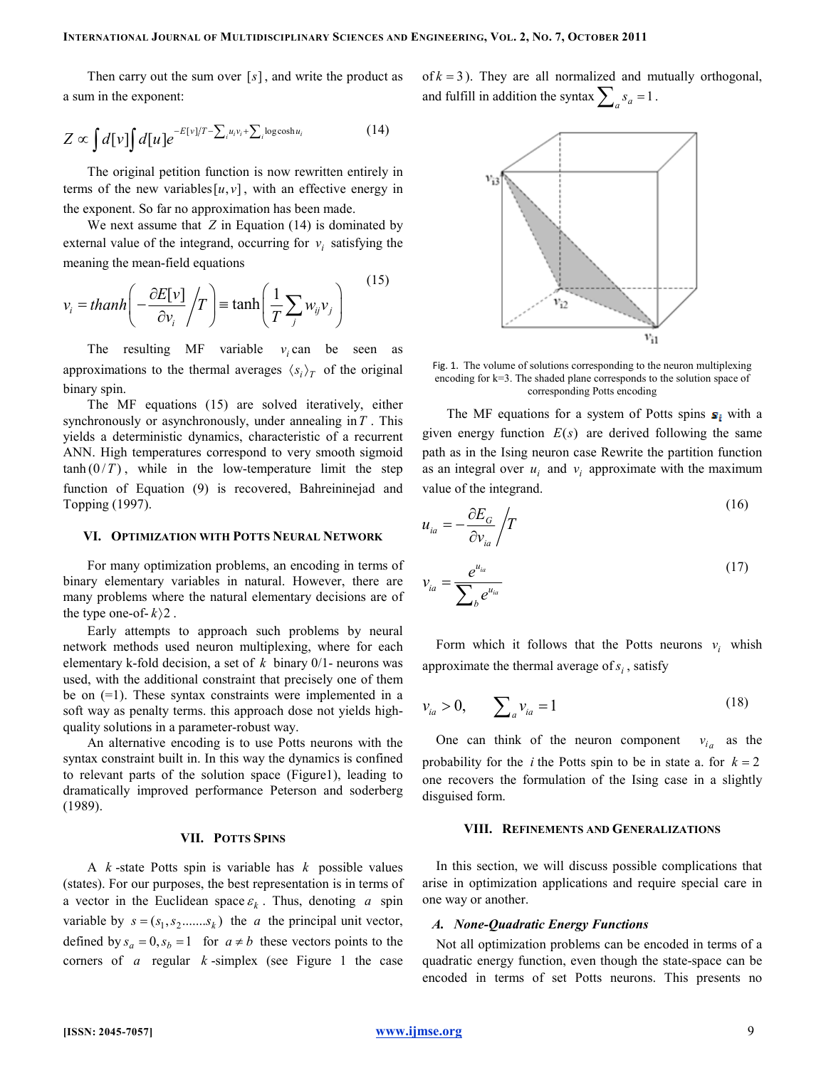Then carry out the sum over  $[s]$ , and write the product as a sum in the exponent:

$$
Z \propto \int d[v] \int d[u] e^{-E[v]/T - \sum_{i} u_i v_i + \sum_{i} \log \cosh u_i}
$$
 (14)

The original petition function is now rewritten entirely in terms of the new variables [u, v], with an effective energy in the exponent. So far no approximation has been made.

We next assume that  $Z$  in Equation (14) is dominated by external value of the integrand, occurring for  $v_i$  satisfying the meaning the mean-field equations

[ ] 1 tanh <sup>i</sup> ij j i j E v v thanh T w v v T ∂ = − ≡ <sup>∂</sup> <sup>∑</sup> (15)

The resulting MF variable  $v_i$  can be seen as approximations to the thermal averages  $\langle s_i \rangle_T$  of the original binary spin.

The MF equations (15) are solved iteratively, either synchronously or asynchronously, under annealing in  $T$ . This yields a deterministic dynamics, characteristic of a recurrent ANN. High temperatures correspond to very smooth sigmoid  $tanh(0/T)$ , while in the low-temperature limit the step function of Equation (9) is recovered, Bahreininejad and Topping (1997).

#### VI. OPTIMIZATION WITH POTTS NEURAL NETWORK

For many optimization problems, an encoding in terms of binary elementary variables in natural. However, there are many problems where the natural elementary decisions are of the type one-of- $k$  $\geq$ .

Early attempts to approach such problems by neural network methods used neuron multiplexing, where for each elementary k-fold decision, a set of  $k$  binary  $0/1$ - neurons was used, with the additional constraint that precisely one of them be on (=1). These syntax constraints were implemented in a soft way as penalty terms. this approach dose not yields highquality solutions in a parameter-robust way.

An alternative encoding is to use Potts neurons with the syntax constraint built in. In this way the dynamics is confined to relevant parts of the solution space (Figure1), leading to dramatically improved performance Peterson and soderberg (1989).

# VII. POTTS SPINS

A  $k$ -state Potts spin is variable has  $k$  possible values (states). For our purposes, the best representation is in terms of a vector in the Euclidean space  $\varepsilon_k$ . Thus, denoting a spin variable by  $s = (s_1, s_2, \dots, s_k)$  the a the principal unit vector, defined by  $s_a = 0, s_b = 1$  for  $a \neq b$  these vectors points to the corners of a regular  $k$ -simplex (see Figure 1 the case

of  $k = 3$ ). They are all normalized and mutually orthogonal, and fulfill in addition the syntax  $\sum_{a} s_a = 1$ .



Fig. 1. The volume of solutions corresponding to the neuron multiplexing encoding for k=3. The shaded plane corresponds to the solution space of corresponding Potts encoding

The MF equations for a system of Potts spins  $s_i$  with a given energy function  $E(s)$  are derived following the same path as in the Ising neuron case Rewrite the partition function as an integral over  $u_i$  and  $v_i$  approximate with the maximum value of the integrand.

$$
u_{ia} = -\frac{\partial E_G}{\partial v_{ia}} / T
$$
\n(16)

$$
v_{ia} = \frac{e^{u_{ia}}}{\sum_b e^{u_{ia}}}
$$
\n<sup>(17)</sup>

Form which it follows that the Potts neurons  $v_i$  whish approximate the thermal average of  $s_i$ , satisfy

$$
v_{ia} > 0, \qquad \sum_{a} v_{ia} = 1 \tag{18}
$$

One can think of the neuron component  $v_{i_a}$  as the probability for the *i* the Potts spin to be in state a. for  $k = 2$ one recovers the formulation of the Ising case in a slightly disguised form.

#### VIII. REFINEMENTS AND GENERALIZATIONS

In this section, we will discuss possible complications that arise in optimization applications and require special care in one way or another.

### A. None-Quadratic Energy Functions

Not all optimization problems can be encoded in terms of a quadratic energy function, even though the state-space can be encoded in terms of set Potts neurons. This presents no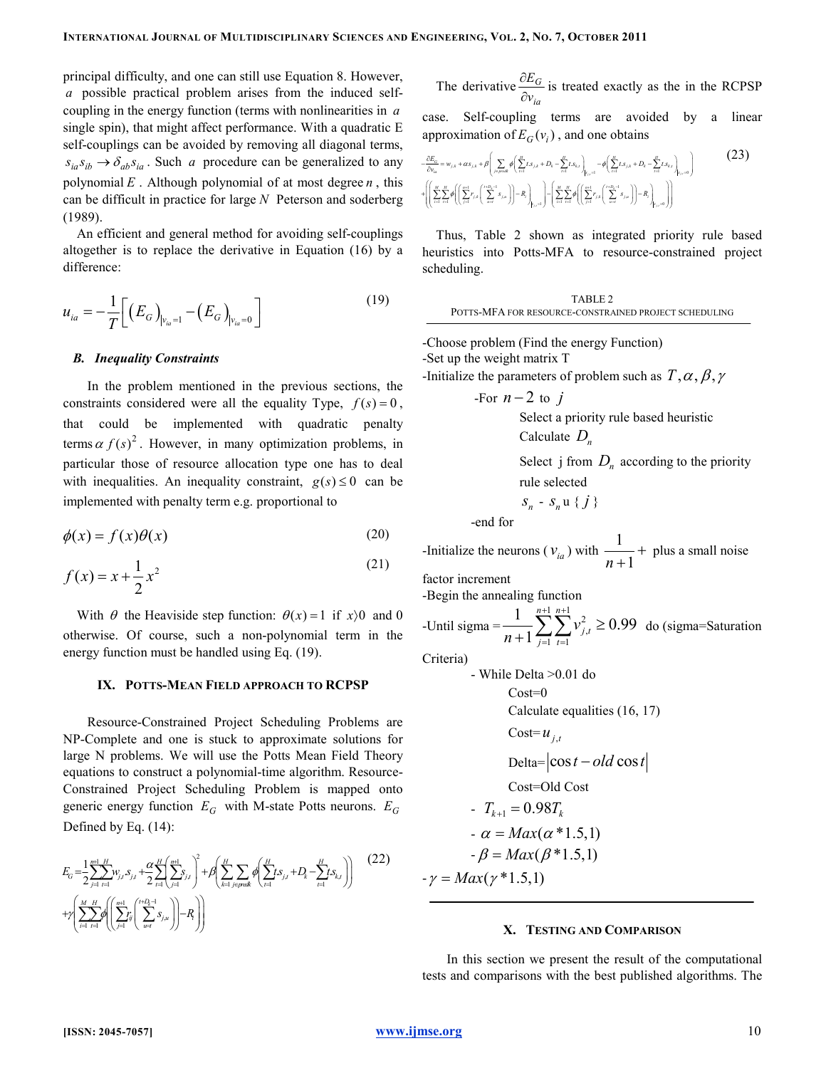principal difficulty, and one can still use Equation 8. However, a possible practical problem arises from the induced selfcoupling in the energy function (terms with nonlinearities in  $a$ single spin), that might affect performance. With a quadratic E self-couplings can be avoided by removing all diagonal terms,  $s_{ia} s_{ib} \rightarrow \delta_{ab} s_{ia}$ . Such a procedure can be generalized to any polynomial  $E$ . Although polynomial of at most degree  $n$ , this can be difficult in practice for large  $N$  Peterson and soderberg (1989).

An efficient and general method for avoiding self-couplings altogether is to replace the derivative in Equation (16) by a difference:

$$
u_{ia} = -\frac{1}{T} \Big[ \big( E_G \big)_{|v_{ia}=1} - \big( E_G \big)_{|v_{ia}=0} \Big] \tag{19}
$$

#### B. Inequality Constraints

In the problem mentioned in the previous sections, the constraints considered were all the equality Type,  $f(s) = 0$ , that could be implemented with quadratic penalty terms  $\alpha f(s)^2$ . However, in many optimization problems, in particular those of resource allocation type one has to deal with inequalities. An inequality constraint,  $g(s) \leq 0$  can be implemented with penalty term e.g. proportional to

$$
\phi(x) = f(x)\theta(x) \tag{20}
$$

$$
f(x) = x + \frac{1}{2}x^2
$$
 (21)

With  $\theta$  the Heaviside step function:  $\theta(x) = 1$  if  $x/0$  and 0 otherwise. Of course, such a non-polynomial term in the energy function must be handled using Eq. (19).

#### IX. POTTS-MEAN FIELD APPROACH TO RCPSP

Resource-Constrained Project Scheduling Problems are NP-Complete and one is stuck to approximate solutions for large N problems. We will use the Potts Mean Field Theory equations to construct a polynomial-time algorithm. Resource-Constrained Project Scheduling Problem is mapped onto generic energy function  $E_G$  with M-state Potts neurons.  $E_G$ Defined by Eq. (14):

$$
E_G = \frac{1}{2} \sum_{j=1}^{n+1} \sum_{t=1}^{H} w_{j,t} S_{j,t} + \frac{\alpha}{2} \sum_{t=1}^{H} \left( \sum_{j=1}^{n+1} S_{j,t} \right)^2 + \beta \left( \sum_{k=1}^{H} \sum_{j \in \text{peak}} \phi \left( \sum_{t=1}^{H} S_{j,t} + D_k - \sum_{t=1}^{H} S_{k,t} \right) \right)
$$
(22)  
+ $\gamma \left( \sum_{i=1}^{M} \sum_{t=1}^{H} \phi \left( \sum_{j=1}^{n+1} \sum_{s \in \mathcal{S}} S_{j,u} \right) - R \right)$ 

The derivative 
$$
\frac{\partial E_G}{\partial v_{ia}}
$$
 is treated exactly as the in the RCPSP

case. Self-coupling terms are avoided by a linear approximation of  $E_G(v_i)$ , and one obtains

$$
\begin{array}{ll}\n-\frac{\partial E_G}{\partial v_{ia}} = w_{j,k} + \alpha s_{j,k} + \beta \left( \sum_{j \leq p \leq k} \phi \left( \sum_{j=1}^H t s_{j,k} + D_t - \sum_{j=1}^H t s_{k,j} \right)_{|t_{j,j}=1} - \phi \left( \sum_{j=1}^H t s_{j,k} + D_t - \sum_{i=1}^H t s_{k,j} \right)_{|t_{j,j}=0} \right)\n\end{array} (23)
$$

Thus, Table 2 shown as integrated priority rule based heuristics into Potts-MFA to resource-constrained project scheduling.

$$
\begin{array}{c} \textbf{TABLE 2} \\ \textbf{POTTS-MFA FOR RESOURCE-CONSTRANED PROJECT SCHEDULING} \end{array}
$$

-Choose problem (Find the energy Function) -Set up the weight matrix T -Initialize the parameters of problem such as  $T, \alpha, \beta, \gamma$ 

For 
$$
n-2
$$
 to  $j$   
\nSelect a priority rule based heuristic  
\nCalculate  $D_n$   
\nSelect  $j$  from  $D_n$  according to the priority  
\nrule selected  
\n $s_n - s_n u \{j\}$ 

-end for

-Initialize the neurons 
$$
(v_{ia})
$$
 with  $\frac{1}{n+1}$  + plus a small noise

factor increment

-Begin the annealing function

-Until sigma = 
$$
\frac{1}{n+1} \sum_{j=1}^{n+1} \sum_{t=1}^{n+1} v_{j,t}^2 \ge 0.99
$$
 do (sigma-Saturation)

Criteria)

- While Delta > 0.01 do  
\nCost=0  
\nCalculate equalities (16, 17)  
\nCost=
$$
u_{j,t}
$$
  
\nDelta=|cos t - old cos t|  
\nCost=Old Cost  
\n-  $T_{k+1} = 0.98T_k$   
\n-  $\alpha = Max(\alpha * 1.5,1)$   
\n-  $\beta = Max(\beta * 1.5,1)$   
\n-  $\gamma = Max(\gamma * 1.5,1)$ 

#### X. TESTING AND COMPARISON

In this section we present the result of the computational tests and comparisons with the best published algorithms. The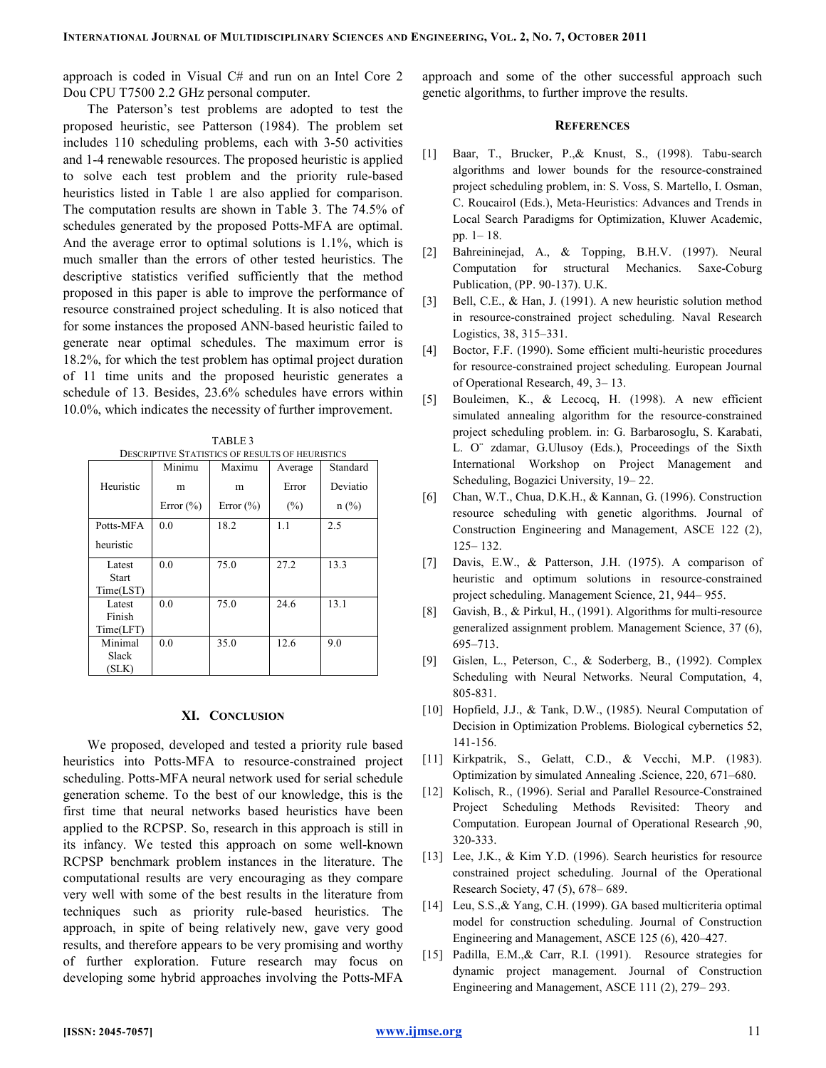approach is coded in Visual C# and run on an Intel Core 2 Dou CPU T7500 2.2 GHz personal computer.

The Paterson's test problems are adopted to test the proposed heuristic, see Patterson (1984). The problem set includes 110 scheduling problems, each with 3-50 activities and 1-4 renewable resources. The proposed heuristic is applied to solve each test problem and the priority rule-based heuristics listed in Table 1 are also applied for comparison. The computation results are shown in Table 3. The 74.5% of schedules generated by the proposed Potts-MFA are optimal. And the average error to optimal solutions is 1.1%, which is much smaller than the errors of other tested heuristics. The descriptive statistics verified sufficiently that the method proposed in this paper is able to improve the performance of resource constrained project scheduling. It is also noticed that for some instances the proposed ANN-based heuristic failed to generate near optimal schedules. The maximum error is 18.2%, for which the test problem has optimal project duration of 11 time units and the proposed heuristic generates a schedule of 13. Besides, 23.6% schedules have errors within 10.0%, which indicates the necessity of further improvement.

TABLE 3

| <b>DESCRIPTIVE STATISTICS OF RESULTS OF HEURISTICS</b> |               |               |         |          |  |
|--------------------------------------------------------|---------------|---------------|---------|----------|--|
|                                                        | Minimu        | Maximu        | Average | Standard |  |
| Heuristic                                              | m             | m             | Error   | Deviatio |  |
|                                                        | Error $(\% )$ | Error $(\% )$ | $(\%)$  | $n$ (%)  |  |
| Potts-MFA                                              | 0.0           | 18.2          | 1.1     | 2.5      |  |
| heuristic                                              |               |               |         |          |  |
| Latest                                                 | 0.0           | 75.0          | 27.2    | 13.3     |  |
| <b>Start</b>                                           |               |               |         |          |  |
| Time(LST)                                              |               |               |         |          |  |
| Latest                                                 | 0.0           | 75.0          | 24.6    | 13.1     |  |
| Finish                                                 |               |               |         |          |  |
| Time(LFT)                                              |               |               |         |          |  |
| Minimal                                                | 0.0           | 35.0          | 12.6    | 9.0      |  |
| Slack                                                  |               |               |         |          |  |
| (SLK)                                                  |               |               |         |          |  |

# XI. CONCLUSION

We proposed, developed and tested a priority rule based heuristics into Potts-MFA to resource-constrained project scheduling. Potts-MFA neural network used for serial schedule generation scheme. To the best of our knowledge, this is the first time that neural networks based heuristics have been applied to the RCPSP. So, research in this approach is still in its infancy. We tested this approach on some well-known RCPSP benchmark problem instances in the literature. The computational results are very encouraging as they compare very well with some of the best results in the literature from techniques such as priority rule-based heuristics. The approach, in spite of being relatively new, gave very good results, and therefore appears to be very promising and worthy of further exploration. Future research may focus on developing some hybrid approaches involving the Potts-MFA

approach and some of the other successful approach such genetic algorithms, to further improve the results.

# **REFERENCES**

- [1] Baar, T., Brucker, P.,& Knust, S., (1998). Tabu-search algorithms and lower bounds for the resource-constrained project scheduling problem, in: S. Voss, S. Martello, I. Osman, C. Roucairol (Eds.), Meta-Heuristics: Advances and Trends in Local Search Paradigms for Optimization, Kluwer Academic, pp. 1– 18.
- [2] Bahreininejad, A., & Topping, B.H.V. (1997). Neural Computation for structural Mechanics. Saxe-Coburg Publication, (PP. 90-137). U.K.
- [3] Bell, C.E., & Han, J. (1991). A new heuristic solution method in resource-constrained project scheduling. Naval Research Logistics, 38, 315–331.
- [4] Boctor, F.F. (1990). Some efficient multi-heuristic procedures for resource-constrained project scheduling. European Journal of Operational Research, 49, 3– 13.
- [5] Bouleimen, K., & Lecocq, H. (1998). A new efficient simulated annealing algorithm for the resource-constrained project scheduling problem. in: G. Barbarosoglu, S. Karabati, L. O¨ zdamar, G.Ulusoy (Eds.), Proceedings of the Sixth International Workshop on Project Management and Scheduling, Bogazici University, 19– 22.
- [6] Chan, W.T., Chua, D.K.H., & Kannan, G. (1996). Construction resource scheduling with genetic algorithms. Journal of Construction Engineering and Management, ASCE 122 (2), 125– 132.
- [7] Davis, E.W., & Patterson, J.H. (1975). A comparison of heuristic and optimum solutions in resource-constrained project scheduling. Management Science, 21, 944– 955.
- [8] Gavish, B., & Pirkul, H., (1991). Algorithms for multi-resource generalized assignment problem. Management Science, 37 (6), 695–713.
- [9] Gislen, L., Peterson, C., & Soderberg, B., (1992). Complex Scheduling with Neural Networks. Neural Computation, 4, 805-831.
- [10] Hopfield, J.J., & Tank, D.W., (1985). Neural Computation of Decision in Optimization Problems. Biological cybernetics 52, 141-156.
- [11] Kirkpatrik, S., Gelatt, C.D., & Vecchi, M.P. (1983). Optimization by simulated Annealing .Science, 220, 671–680.
- [12] Kolisch, R., (1996). Serial and Parallel Resource-Constrained Project Scheduling Methods Revisited: Theory and Computation. European Journal of Operational Research ,90, 320-333.
- [13] Lee, J.K., & Kim Y.D. (1996). Search heuristics for resource constrained project scheduling. Journal of the Operational Research Society, 47 (5), 678– 689.
- [14] Leu, S.S.,& Yang, C.H. (1999). GA based multicriteria optimal model for construction scheduling. Journal of Construction Engineering and Management, ASCE 125 (6), 420–427.
- [15] Padilla, E.M., & Carr, R.I. (1991). Resource strategies for dynamic project management. Journal of Construction Engineering and Management, ASCE 111 (2), 279– 293.